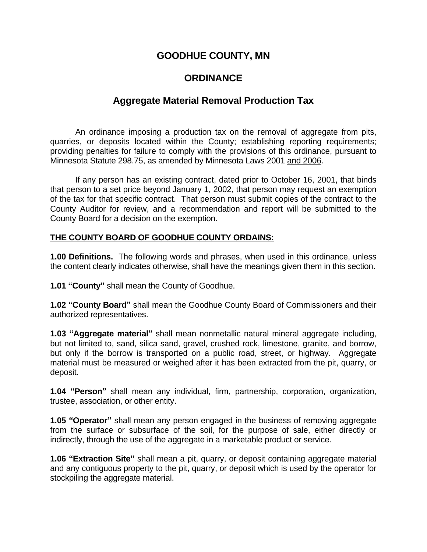## **GOODHUE COUNTY, MN**

# **ORDINANCE**

## **Aggregate Material Removal Production Tax**

An ordinance imposing a production tax on the removal of aggregate from pits, quarries, or deposits located within the County; establishing reporting requirements; providing penalties for failure to comply with the provisions of this ordinance, pursuant to Minnesota Statute 298.75, as amended by Minnesota Laws 2001 and 2006.

If any person has an existing contract, dated prior to October 16, 2001, that binds that person to a set price beyond January 1, 2002, that person may request an exemption of the tax for that specific contract. That person must submit copies of the contract to the County Auditor for review, and a recommendation and report will be submitted to the County Board for a decision on the exemption.

#### **THE COUNTY BOARD OF GOODHUE COUNTY ORDAINS:**

**1.00 Definitions.** The following words and phrases, when used in this ordinance, unless the content clearly indicates otherwise, shall have the meanings given them in this section.

**1.01 "County"** shall mean the County of Goodhue.

**1.02 "County Board"** shall mean the Goodhue County Board of Commissioners and their authorized representatives.

**1.03 "Aggregate material"** shall mean nonmetallic natural mineral aggregate including, but not limited to, sand, silica sand, gravel, crushed rock, limestone, granite, and borrow, but only if the borrow is transported on a public road, street, or highway. Aggregate material must be measured or weighed after it has been extracted from the pit, quarry, or deposit.

**1.04 "Person"** shall mean any individual, firm, partnership, corporation, organization, trustee, association, or other entity.

**1.05 "Operator"** shall mean any person engaged in the business of removing aggregate from the surface or subsurface of the soil, for the purpose of sale, either directly or indirectly, through the use of the aggregate in a marketable product or service.

**1.06 "Extraction Site"** shall mean a pit, quarry, or deposit containing aggregate material and any contiguous property to the pit, quarry, or deposit which is used by the operator for stockpiling the aggregate material.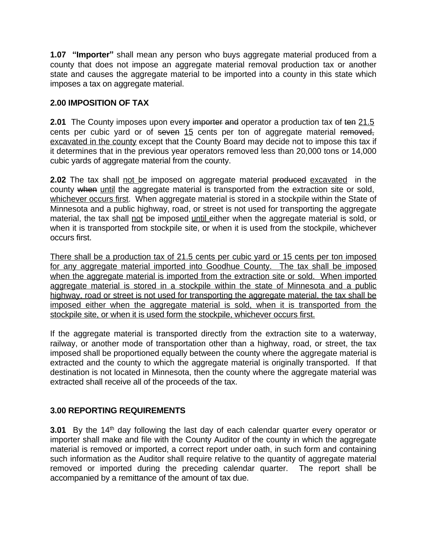**1.07 "Importer"** shall mean any person who buys aggregate material produced from a county that does not impose an aggregate material removal production tax or another state and causes the aggregate material to be imported into a county in this state which imposes a tax on aggregate material.

#### **2.00 IMPOSITION OF TAX**

**2.01** The County imposes upon every importer and operator a production tax of ten 21.5 cents per cubic yard or of seven 15 cents per ton of aggregate material removed, excavated in the county except that the County Board may decide not to impose this tax if it determines that in the previous year operators removed less than 20,000 tons or 14,000 cubic yards of aggregate material from the county.

**2.02** The tax shall not be imposed on aggregate material produced excavated in the county when until the aggregate material is transported from the extraction site or sold, whichever occurs first. When aggregate material is stored in a stockpile within the State of Minnesota and a public highway, road, or street is not used for transporting the aggregate material, the tax shall not be imposed until either when the aggregate material is sold, or when it is transported from stockpile site, or when it is used from the stockpile, whichever occurs first.

There shall be a production tax of 21.5 cents per cubic yard or 15 cents per ton imposed for any aggregate material imported into Goodhue County. The tax shall be imposed when the aggregate material is imported from the extraction site or sold. When imported aggregate material is stored in a stockpile within the state of Minnesota and a public highway, road or street is not used for transporting the aggregate material, the tax shall be imposed either when the aggregate material is sold, when it is transported from the stockpile site, or when it is used form the stockpile, whichever occurs first.

If the aggregate material is transported directly from the extraction site to a waterway, railway, or another mode of transportation other than a highway, road, or street, the tax imposed shall be proportioned equally between the county where the aggregate material is extracted and the county to which the aggregate material is originally transported. If that destination is not located in Minnesota, then the county where the aggregate material was extracted shall receive all of the proceeds of the tax.

### **3.00 REPORTING REQUIREMENTS**

**3.01** By the 14<sup>th</sup> day following the last day of each calendar quarter every operator or importer shall make and file with the County Auditor of the county in which the aggregate material is removed or imported, a correct report under oath, in such form and containing such information as the Auditor shall require relative to the quantity of aggregate material removed or imported during the preceding calendar quarter. The report shall be accompanied by a remittance of the amount of tax due.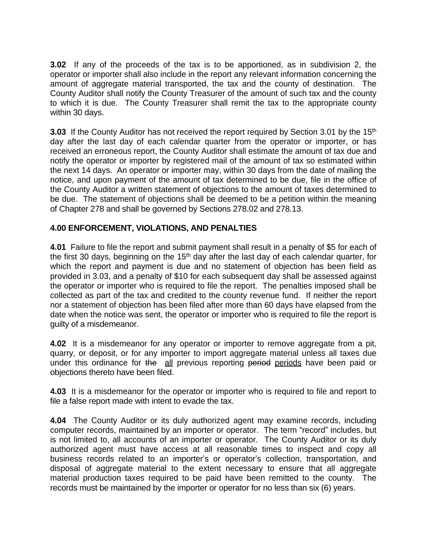**3.02** If any of the proceeds of the tax is to be apportioned, as in subdivision 2, the operator or importer shall also include in the report any relevant information concerning the amount of aggregate material transported, the tax and the county of destination. The County Auditor shall notify the County Treasurer of the amount of such tax and the county to which it is due. The County Treasurer shall remit the tax to the appropriate county within 30 days.

**3.03** If the County Auditor has not received the report required by Section 3.01 by the 15<sup>th</sup> day after the last day of each calendar quarter from the operator or importer, or has received an erroneous report, the County Auditor shall estimate the amount of tax due and notify the operator or importer by registered mail of the amount of tax so estimated within the next 14 days. An operator or importer may, within 30 days from the date of mailing the notice, and upon payment of the amount of tax determined to be due, file in the office of the County Auditor a written statement of objections to the amount of taxes determined to be due. The statement of objections shall be deemed to be a petition within the meaning of Chapter 278 and shall be governed by Sections 278.02 and 278.13.

### **4.00 ENFORCEMENT, VIOLATIONS, AND PENALTIES**

**4.01** Failure to file the report and submit payment shall result in a penalty of \$5 for each of the first 30 days, beginning on the  $15<sup>th</sup>$  day after the last day of each calendar quarter, for which the report and payment is due and no statement of objection has been field as provided in 3.03, and a penalty of \$10 for each subsequent day shall be assessed against the operator or importer who is required to file the report. The penalties imposed shall be collected as part of the tax and credited to the county revenue fund. If neither the report nor a statement of objection has been filed after more than 60 days have elapsed from the date when the notice was sent, the operator or importer who is required to file the report is guilty of a misdemeanor.

**4.02** It is a misdemeanor for any operator or importer to remove aggregate from a pit, quarry, or deposit, or for any importer to import aggregate material unless all taxes due under this ordinance for the all previous reporting period periods have been paid or objections thereto have been filed.

**4.03** It is a misdemeanor for the operator or importer who is required to file and report to file a false report made with intent to evade the tax.

**4.04** The County Auditor or its duly authorized agent may examine records, including computer records, maintained by an importer or operator. The term "record" includes, but is not limited to, all accounts of an importer or operator. The County Auditor or its duly authorized agent must have access at all reasonable times to inspect and copy all business records related to an importer's or operator's collection, transportation, and disposal of aggregate material to the extent necessary to ensure that all aggregate material production taxes required to be paid have been remitted to the county. The records must be maintained by the importer or operator for no less than six (6) years.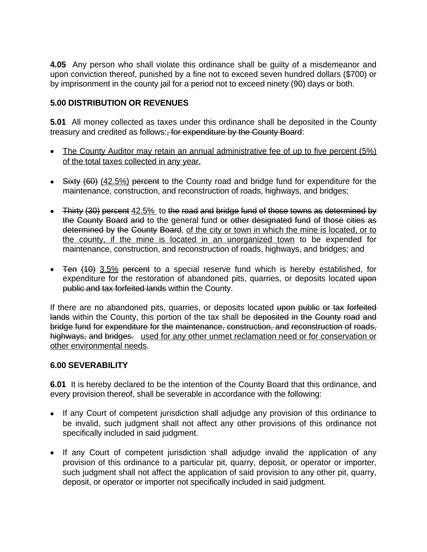**4.05** Any person who shall violate this ordinance shall be guilty of a misdemeanor and upon conviction thereof, punished by a fine not to exceed seven hundred dollars (\$700) or by imprisonment in the county jail for a period not to exceed ninety (90) days or both.

### **5.00 DISTRIBUTION OR REVENUES**

**5.01** All money collected as taxes under this ordinance shall be deposited in the County treasury and credited as follows:, for expenditure by the County Board:

- The County Auditor may retain an annual administrative fee of up to five percent (5%) of the total taxes collected in any year.
- Sixty (60) (42.5%) percent to the County road and bridge fund for expenditure for the maintenance, construction, and reconstruction of roads, highways, and bridges;
- $\bullet$  Thirty (30) percent  $42.5\%$  to the road and bridge fund of those towns as determined by the County Board and to the general fund or other designated fund of those cities as determined by the County Board, of the city or town in which the mine is located, or to the county, if the mine is located in an unorganized town to be expended for maintenance, construction, and reconstruction of roads, highways, and bridges; and
- Ten  $(10)$  3.5% percent to a special reserve fund which is hereby established, for expenditure for the restoration of abandoned pits, quarries, or deposits located upon public and tax forfeited lands within the County.

If there are no abandoned pits, quarries, or deposits located upon public or tax forfeited lands within the County, this portion of the tax shall be deposited in the County road and bridge fund for expenditure for the maintenance, construction, and reconstruction of roads, highways, and bridges. used for any other unmet reclamation need or for conservation or other environmental needs.

### **6.00 SEVERABILITY**

**6.01** It is hereby declared to be the intention of the County Board that this ordinance, and every provision thereof, shall be severable in accordance with the following:

- If any Court of competent jurisdiction shall adjudge any provision of this ordinance to be invalid, such judgment shall not affect any other provisions of this ordinance not specifically included in said judgment.
- If any Court of competent jurisdiction shall adjudge invalid the application of any provision of this ordinance to a particular pit, quarry, deposit, or operator or importer, such judgment shall not affect the application of said provision to any other pit, quarry, deposit, or operator or importer not specifically included in said judgment.